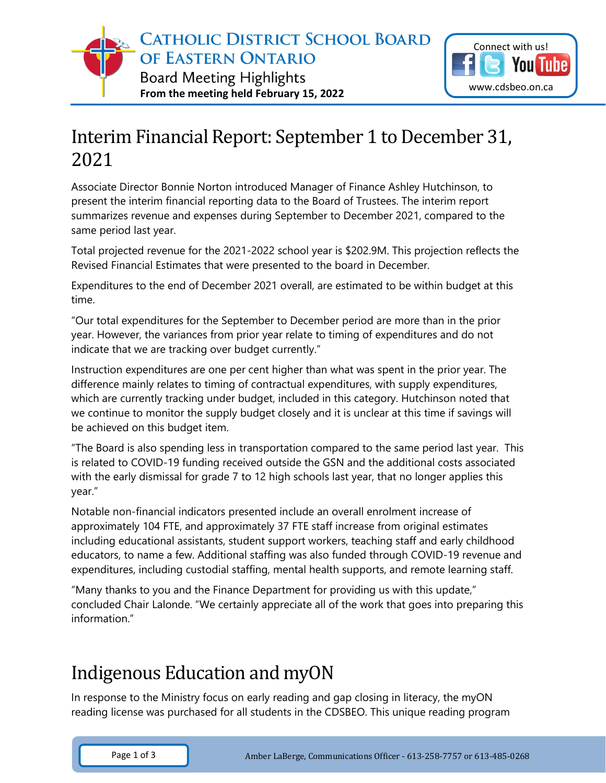

Tube

## Interim Financial Report: September 1 to December 31, 2021

Associate Director Bonnie Norton introduced Manager of Finance Ashley Hutchinson, to present the interim financial reporting data to the Board of Trustees. The interim report summarizes revenue and expenses during September to December 2021, compared to the same period last year.

Total projected revenue for the 2021-2022 school year is \$202.9M. This projection reflects the Revised Financial Estimates that were presented to the board in December.

Expenditures to the end of December 2021 overall, are estimated to be within budget at this time.

"Our total expenditures for the September to December period are more than in the prior year. However, the variances from prior year relate to timing of expenditures and do not indicate that we are tracking over budget currently."

Instruction expenditures are one per cent higher than what was spent in the prior year. The difference mainly relates to timing of contractual expenditures, with supply expenditures, which are currently tracking under budget, included in this category. Hutchinson noted that we continue to monitor the supply budget closely and it is unclear at this time if savings will be achieved on this budget item.

"The Board is also spending less in transportation compared to the same period last year. This is related to COVID-19 funding received outside the GSN and the additional costs associated with the early dismissal for grade 7 to 12 high schools last year, that no longer applies this year."

Notable non-financial indicators presented include an overall enrolment increase of approximately 104 FTE, and approximately 37 FTE staff increase from original estimates including educational assistants, student support workers, teaching staff and early childhood educators, to name a few. Additional staffing was also funded through COVID-19 revenue and expenditures, including custodial staffing, mental health supports, and remote learning staff.

"Many thanks to you and the Finance Department for providing us with this update," concluded Chair Lalonde. "We certainly appreciate all of the work that goes into preparing this information."

## Indigenous Education and myON

In response to the Ministry focus on early reading and gap closing in literacy, the myON reading license was purchased for all students in the CDSBEO. This unique reading program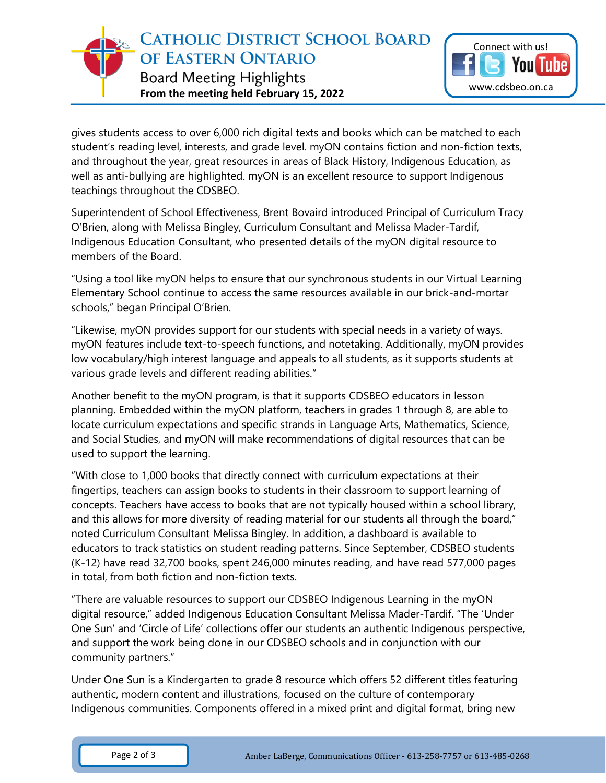

gives students access to over 6,000 rich digital texts and books which can be matched to each student's reading level, interests, and grade level. myON contains fiction and non-fiction texts, and throughout the year, great resources in areas of Black History, Indigenous Education, as well as anti-bullying are highlighted. myON is an excellent resource to support Indigenous teachings throughout the CDSBEO.

Superintendent of School Effectiveness, Brent Bovaird introduced Principal of Curriculum Tracy O'Brien, along with Melissa Bingley, Curriculum Consultant and Melissa Mader-Tardif, Indigenous Education Consultant, who presented details of the myON digital resource to members of the Board.

"Using a tool like myON helps to ensure that our synchronous students in our Virtual Learning Elementary School continue to access the same resources available in our brick-and-mortar schools," began Principal O'Brien.

"Likewise, myON provides support for our students with special needs in a variety of ways. myON features include text-to-speech functions, and notetaking. Additionally, myON provides low vocabulary/high interest language and appeals to all students, as it supports students at various grade levels and different reading abilities."

Another benefit to the myON program, is that it supports CDSBEO educators in lesson planning. Embedded within the myON platform, teachers in grades 1 through 8, are able to locate curriculum expectations and specific strands in Language Arts, Mathematics, Science, and Social Studies, and myON will make recommendations of digital resources that can be used to support the learning.

"With close to 1,000 books that directly connect with curriculum expectations at their fingertips, teachers can assign books to students in their classroom to support learning of concepts. Teachers have access to books that are not typically housed within a school library, and this allows for more diversity of reading material for our students all through the board," noted Curriculum Consultant Melissa Bingley. In addition, a dashboard is available to educators to track statistics on student reading patterns. Since September, CDSBEO students (K-12) have read 32,700 books, spent 246,000 minutes reading, and have read 577,000 pages in total, from both fiction and non-fiction texts.

"There are valuable resources to support our CDSBEO Indigenous Learning in the myON digital resource," added Indigenous Education Consultant Melissa Mader-Tardif. "The 'Under One Sun' and 'Circle of Life' collections offer our students an authentic Indigenous perspective, and support the work being done in our CDSBEO schools and in conjunction with our community partners."

Under One Sun is a Kindergarten to grade 8 resource which offers 52 different titles featuring authentic, modern content and illustrations, focused on the culture of contemporary Indigenous communities. Components offered in a mixed print and digital format, bring new